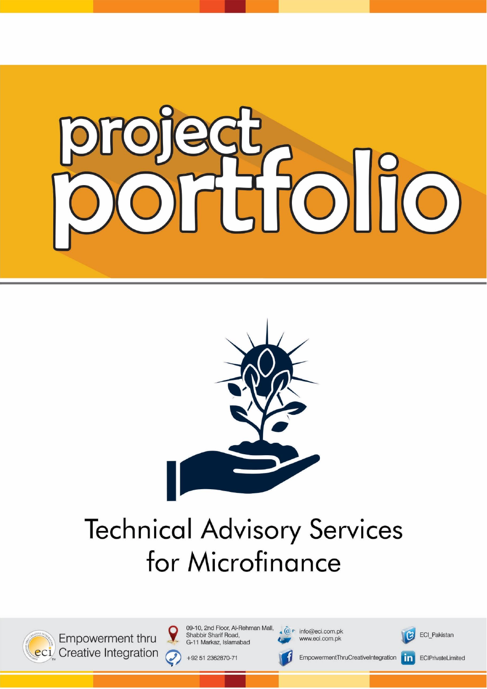



# **Technical Advisory Services** for Microfinance



Empowerment thru eci Creative Integration 09-10, 2nd Floor, Al-Rehman Mall, Shabbir Sharif Road, G-11 Markaz, Islamabad

 $\widehat{a} \in \widehat{a}$  info@eci.com.pk www.eci.com.pk





ECIPrivateLimited

+92 51 2362870-71

EmpowermentThruCreativeIntegration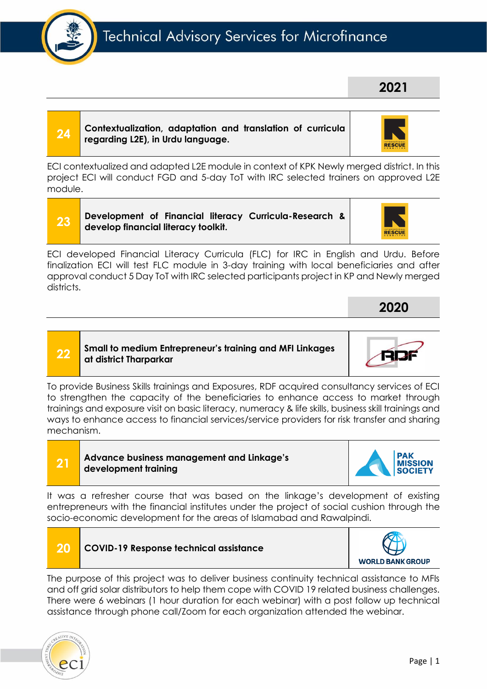# Technical Advisory Services for Microfinance

#### **24 Contextualization, adaptation and translation of curricula regarding L2E), in Urdu language.**

ECI contextualized and adapted L2E module in context of KPK Newly merged district. In this project ECI will conduct FGD and 5-day ToT with IRC selected trainers on approved L2E module.

**23 Development of Financial literacy Curricula-Research & develop financial literacy toolkit.**

ECI developed Financial Literacy Curricula (FLC) for IRC in English and Urdu. Before finalization ECI will test FLC module in 3-day training with local beneficiaries and after approval conduct 5 Day ToT with IRC selected participants project in KP and Newly merged districts.

**22 Small to medium Entrepreneur's training and MFI Linkages at district Tharparkar**

To provide Business Skills trainings and Exposures, RDF acquired consultancy services of ECI to strengthen the capacity of the beneficiaries to enhance access to market through trainings and exposure visit on basic literacy, numeracy & life skills, business skill trainings and ways to enhance access to financial services/service providers for risk transfer and sharing mechanism.

**21 Advance business management and Linkage's** 

**development training**

**20 COVID-19 Response technical assistance**

It was a refresher course that was based on the linkage's development of existing entrepreneurs with the financial institutes under the project of social cushion through the socio-economic development for the areas of Islamabad and Rawalpindi.

The purpose of this project was to deliver business continuity technical assistance to MFIs and off grid solar distributors to help them cope with COVID 19 related business challenges. There were 6 webinars (1 hour duration for each webinar) with a post follow up technical assistance through phone call/Zoom for each organization attended the webinar.





**WORLD BANK GROUP** 



**2021**



**2020**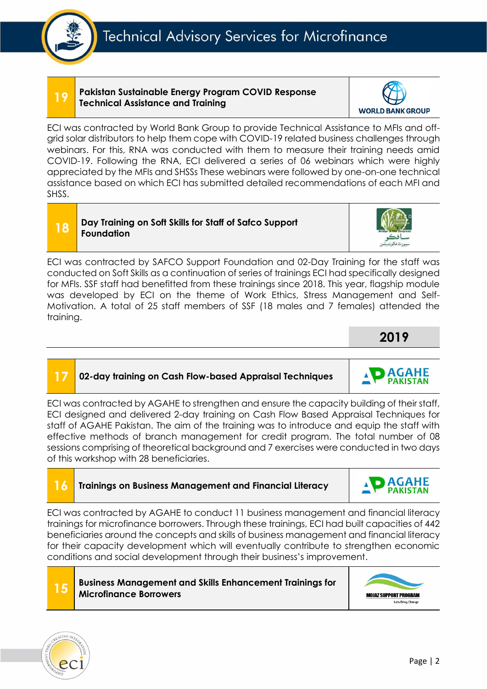#### **19 Pakistan Sustainable Energy Program COVID Response Technical Assistance and Training**

ECI was contracted by World Bank Group to provide Technical Assistance to MFIs and offgrid solar distributors to help them cope with COVID-19 related business challenges through webinars. For this, RNA was conducted with them to measure their training needs amid COVID-19. Following the RNA, ECI delivered a series of 06 webinars which were highly appreciated by the MFIs and SHSSs These webinars were followed by one-on-one technical assistance based on which ECI has submitted detailed recommendations of each MFI and SHSS.

#### **18 Day Training on Soft Skills for Staff of Safco Support Foundation**

ECI was contracted by SAFCO Support Foundation and 02-Day Training for the staff was conducted on Soft Skills as a continuation of series of trainings ECI had specifically designed for MFIs. SSF staff had benefitted from these trainings since 2018. This year, flagship module was developed by ECI on the theme of Work Ethics, Stress Management and Self-Motivation. A total of 25 staff members of SSF (18 males and 7 females) attended the training.

# **17 02-day training on Cash Flow-based Appraisal Techniques**

ECI was contracted by AGAHE to strengthen and ensure the capacity building of their staff, ECI designed and delivered 2-day training on Cash Flow Based Appraisal Techniques for staff of AGAHE Pakistan. The aim of the training was to introduce and equip the staff with effective methods of branch management for credit program. The total number of 08 sessions comprising of theoretical background and 7 exercises were conducted in two days of this workshop with 28 beneficiaries.

# **16 Trainings on Business Management and Financial Literacy**

ECI was contracted by AGAHE to conduct 11 business management and financial literacy trainings for microfinance borrowers. Through these trainings, ECI had built capacities of 442 beneficiaries around the concepts and skills of business management and financial literacy for their capacity development which will eventually contribute to strengthen economic conditions and social development through their business's improvement.

#### **15 Business Management and Skills Enhancement Trainings for Microfinance Borrowers**





**MOJAZ SUPPORT PROGRAM** Lets Bring Change

**AGAHE PAKISTAN** 



**WORLD BANK GROUP** 



**AGAHE PAKISTAN** 



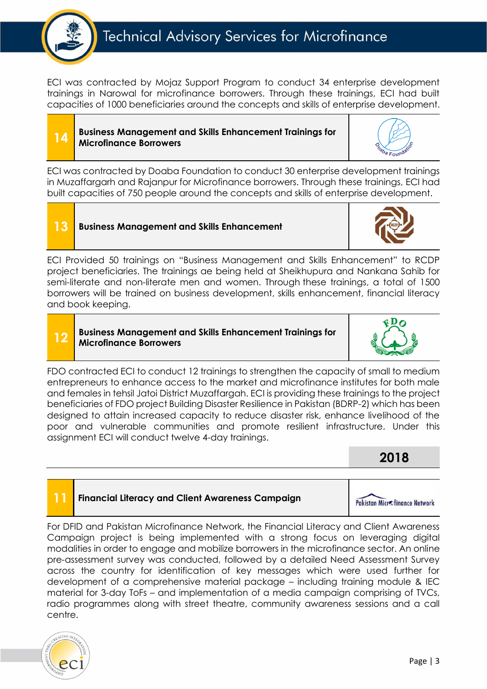

ECI was contracted by Mojaz Support Program to conduct 34 enterprise development trainings in Narowal for microfinance borrowers. Through these trainings, ECI had built capacities of 1000 beneficiaries around the concepts and skills of enterprise development.

#### **14 Business Management and Skills Enhancement Trainings for Microfinance Borrowers**



ECI was contracted by Doaba Foundation to conduct 30 enterprise development trainings in Muzaffargarh and Rajanpur for Microfinance borrowers. Through these trainings, ECI had built capacities of 750 people around the concepts and skills of enterprise development.

**13 Business Management and Skills Enhancement** 

ECI Provided 50 trainings on "Business Management and Skills Enhancement" to RCDP project beneficiaries. The trainings ae being held at Sheikhupura and Nankana Sahib for semi-literate and non-literate men and women. Through these trainings, a total of 1500 borrowers will be trained on business development, skills enhancement, financial literacy and book keeping.

#### **12 Business Management and Skills Enhancement Trainings for Microfinance Borrowers**



FDO contracted ECI to conduct 12 trainings to strengthen the capacity of small to medium entrepreneurs to enhance access to the market and microfinance institutes for both male and females in tehsil Jatoi District Muzaffargah. ECI is providing these trainings to the project beneficiaries of FDO project Building Disaster Resilience in Pakistan (BDRP-2) which has been designed to attain increased capacity to reduce disaster risk, enhance livelihood of the poor and vulnerable communities and promote resilient infrastructure. Under this assignment ECI will conduct twelve 4-day trainings.

### **2018**

#### **11 Financial Literacy and Client Awareness Campaign**



For DFID and Pakistan Microfinance Network, the Financial Literacy and Client Awareness Campaign project is being implemented with a strong focus on leveraging digital modalities in order to engage and mobilize borrowers in the microfinance sector. An online pre-assessment survey was conducted, followed by a detailed Need Assessment Survey across the country for identification of key messages which were used further for development of a comprehensive material package – including training module & IEC material for 3-day ToFs – and implementation of a media campaign comprising of TVCs, radio programmes along with street theatre, community awareness sessions and a call centre.

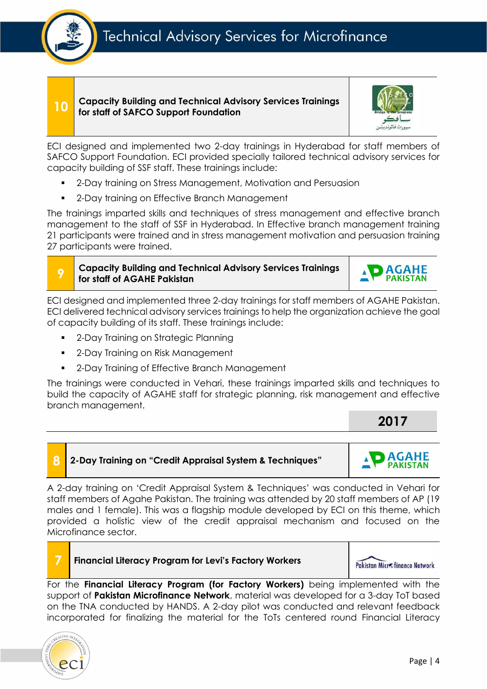#### **10 Capacity Building and Technical Advisory Services Trainings for staff of SAFCO Support Foundation**



ECI designed and implemented two 2-day trainings in Hyderabad for staff members of SAFCO Support Foundation. ECI provided specially tailored technical advisory services for capacity building of SSF staff. These trainings include:

- 2-Day training on Stress Management, Motivation and Persuasion
- 2-Day training on Effective Branch Management

The trainings imparted skills and techniques of stress management and effective branch management to the staff of SSF in Hyderabad. In Effective branch management training 21 participants were trained and in stress management motivation and persuasion training 27 participants were trained.

**Capacity Building and Technical Advisory Services Trainings for staff of AGAHE Pakistan** 



ECI designed and implemented three 2-day trainings for staff members of AGAHE Pakistan. ECI delivered technical advisory services trainings to help the organization achieve the goal of capacity building of its staff. These trainings include:

- 2-Day Training on Strategic Planning
- 2-Day Training on Risk Management
- 2-Day Training of Effective Branch Management

The trainings were conducted in Vehari, these trainings imparted skills and techniques to build the capacity of AGAHE staff for strategic planning, risk management and effective branch management.

**2017**

**AGAHE PAKISTAN** 

#### **8 2-Day Training on "Credit Appraisal System & Techniques"**

A 2-day training on 'Credit Appraisal System & Techniques' was conducted in Vehari for staff members of Agahe Pakistan. The training was attended by 20 staff members of AP (19 males and 1 female). This was a flagship module developed by ECI on this theme, which provided a holistic view of the credit appraisal mechanism and focused on the Microfinance sector.



**9**

#### **7 Financial Literacy Program for Levi's Factory Workers**

Pakistan Microfinance Network

For the **Financial Literacy Program (for Factory Workers)** being implemented with the support of **Pakistan Microfinance Network**, material was developed for a 3-day ToT based on the TNA conducted by HANDS. A 2-day pilot was conducted and relevant feedback incorporated for finalizing the material for the ToTs centered round Financial Literacy

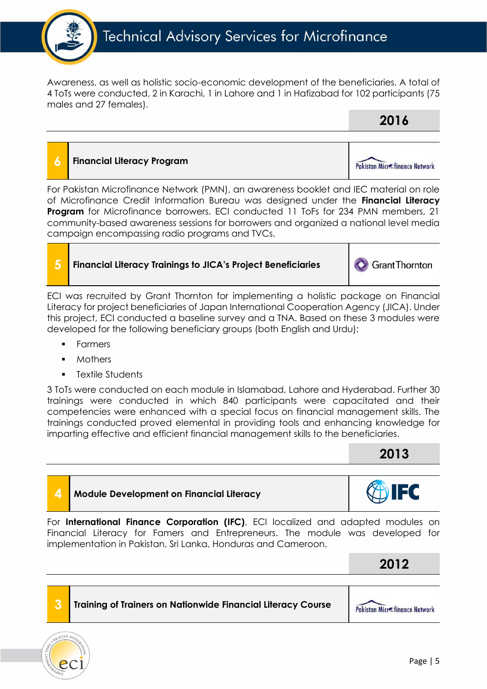

Awareness, as well as holistic socio-economic development of the beneficiaries. A total of 4 ToTs were conducted, 2 in Karachi, 1 in Lahore and 1 in Hafizabad for 102 participants (75 males and 27 females).

# **2016**

# **6 Financial Literacy Program** Pakistan Microfinance Network

For Pakistan Microfinance Network (PMN), an awareness booklet and IEC material on role of Microfinance Credit Information Bureau was designed under the **Financial Literacy Program** for Microfinance borrowers. ECI conducted 11 ToFs for 234 PMN members, 21 community-based awareness sessions for borrowers and organized a national level media campaign encompassing radio programs and TVCs.

#### **5 Financial Literacy Trainings to JICA's Project Beneficiaries**

**GrantThornton** 

ECI was recruited by Grant Thornton for implementing a holistic package on Financial Literacy for project beneficiaries of Japan International Cooperation Agency (JICA). Under this project, ECI conducted a baseline survey and a TNA. Based on these 3 modules were developed for the following beneficiary groups (both English and Urdu):

- **Farmers**
- **Mothers**
- Textile Students

3 ToTs were conducted on each module in Islamabad, Lahore and Hyderabad. Further 30 trainings were conducted in which 840 participants were capacitated and their competencies were enhanced with a special focus on financial management skills. The trainings conducted proved elemental in providing tools and enhancing knowledge for imparting effective and efficient financial management skills to the beneficiaries.

# **2013**

#### **4 Module Development on Financial Literacy**

For **International Finance Corporation (IFC)**, ECI localized and adapted modules on Financial Literacy for Famers and Entrepreneurs. The module was developed for implementation in Pakistan, Sri Lanka, Honduras and Cameroon.

 **2012**

#### **3 Training of Trainers on Nationwide Financial Literacy Course**

Pakistan Microfinance Network